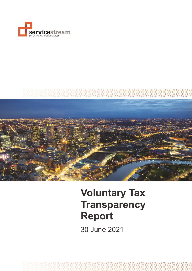



# **Voluntary Tax Transparency Report**

30 June 2021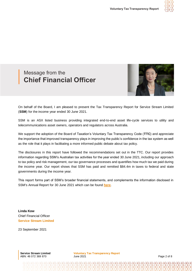

# Message from the **Chief Financial Officer**



On behalf of the Board, I am pleased to present the Tax Transparency Report for Service Stream Limited (**SSM**) for the income year ended 30 June 2021.

SSM is an ASX listed business providing integrated end-to-end asset life-cycle services to utility and telecommunications asset owners, operators and regulators across Australia.

We support the adoption of the Board of Taxation's Voluntary Tax Transparency Code (**TTC**) and appreciate the importance that improved transparency plays in improving the public's confidence in the tax system as well as the role that it plays in facilitating a more informed public debate about tax policy.

The disclosures in this report have followed the recommendations set out in the TTC. Our report provides information regarding SSM's Australian tax activities for the year ended 30 June 2021, including our approach to tax policy and risk management, our tax governance processes and quantifies how much tax we paid during the income year. Our report shows that SSM has paid and remitted \$84.4m in taxes to federal and state governments during the income year.

This report forms part of SSM's broader financial statements, and complements the information disclosed in SSM's Annual Report for 30 June 2021 which can be found **[here](https://cms.servicestream.com.au/assets/images/Service_Stream_Annual_Report_2021.pdf)**.

**Linda Kow** Chief Financial Officer **Service Stream Limited** 

23 September 2021

**Service Stream Limited**  ABN: 46 072 369 870

**Voluntary Tax Transparency Report** June 2021 **Page 2 of 8**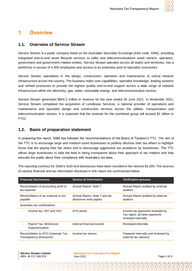

### **1. Overview**

#### **1.1. Overview of Service Stream**

Service Stream is a public company listed on the Australian Securities Exchange (ASX code: SSM), providing integrated end-to-end asset lifecycle services to utility and telecommunications asset owners, operators, government and government-related entities. Service Stream operates across all states and territories, has a workforce in excess of 4,400 employees and access to an extensive pool of specialist contractors.

Service Stream specialises in the design, construction, operation and maintenance of critical network infrastructure across the country. The business holds core capabilities, specialist knowledge, leading systems and refined processes to provide the highest quality end-to-end support across a wide range of network infrastructure within the electricity, gas, water, renewable energy, and telecommunication sectors.

Service Stream generated \$804.2 million in revenue for the year ended 30 June 2021. In November 2021, Service Stream completed the acquisition of Lendlease Services, a national provider of operations and maintenance and specialist design and construction services across the utilities, transportation and telecommunication sectors. It is expected that the revenue for the combined group will exceed \$1 billion in FY22.

#### **1.2. Basis of preparation statement**

In preparing this report, SSM has followed the recommendations of the Board of Taxation's TTC. The aim of the TTC is to encourage large and medium-sized businesses to publicly disclose their tax affairs to highlight those that are paying their fair share and to discourage aggressive tax avoidance by businesses. The TTC allows large businesses to take the lead in being transparent about their approach to tax matters and help educate the public about their compliance with Australia's tax laws.

The reporting currency for SSM is AUD and disclosures have been rounded to the nearest \$1,000. The sources of various financial and tax information disclosed in this report are summarised below.

| <b>Financial disclosures</b>                                    | Source of information                                   | <b>Verification process</b>                                                             |
|-----------------------------------------------------------------|---------------------------------------------------------|-----------------------------------------------------------------------------------------|
| Reconciliation of accounting profit to<br>tax expense           | Annual Report, Note 7                                   | Annual Report audited by external<br>auditors                                           |
| Reconciliation of tax expense to tax<br>payable                 | Annual Report, Note 7 and tax<br>disclosure work papers | Annual Report audited by external<br>auditors                                           |
| Australian tax contributions:                                   |                                                         |                                                                                         |
| Income tax, FBT and GST                                         | ATO portal                                              | Income tax payments reviewed by<br>Tax Agent; all other payments<br>reviewed internally |
| Payroll Tax, Workcover,<br>Superannuation                       | Internal financial records                              | Reviewed internally                                                                     |
| Reconciliation to ATO Corporate Tax<br>Transparency disclosures | Income tax returns                                      | Prepared internally and reviewed by<br>external tax advisors                            |

**Service Stream Limited**  ABN: 46 072 369 870

**Voluntary Tax Transparency Report** June 2021 **Page 3 of 8**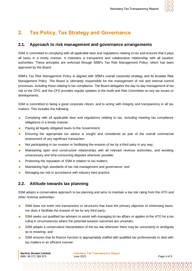

# **2. Tax Policy, Tax Strategy and Governance**

#### **2.1. Approach to risk management and governance arrangements**

SSM is committed to complying with all applicable laws and regulations relating to tax and ensures that it pays all taxes in a timely manner. It maintains a transparent and collaborative relationship with all taxation authorities. These principles are enforced through SSM's Tax Risk Management Policy, which has been approved by the Board.

SSM's Tax Risk Management Policy is aligned with SSM's overall corporate strategy and its broader Risk Management Policy. The Board is ultimately responsible for the management of risk and internal control processes, including those relating to tax compliance. The Board delegates the day-to-day management of tax risk to the CFO, and the CFO provides regular updates to the Audit and Risk Committee on any tax issues or developments.

SSM is committed to being a good corporate citizen, and to acting with integrity and transparency in all tax matters. This includes the following:

- **Complying with all applicable laws and regulations relating to tax, including meeting tax compliance** obligations in a timely manner;
- **Paying all legally obligated taxes to the Government;**
- **Ensuring the appropriate tax advice is sought and considered as part of the overall commercial** assessment of any significant transaction;
- Not participating in tax evasion or facilitating the evasion of tax by a third party in any way;
- **Maintaining open and constructive relationships with all relevant revenue authorities, and avoiding** unnecessary and time-consuming disputes wherever possible;
- **Protecting the reputation of SSM in relation to tax matters;**
- **Maintaining high standards of tax risk management and governance; and**
- **Managing tax risk in accordance with industry best practice.**

#### **2.2. Attitude towards tax planning**

SSM adopts a conservative approach to tax planning and aims to maintain a low risk rating from the ATO and other revenue authorities:

- SSM does not enter into transactions or structures that have the primary objective of minimising taxes, nor does it facilitate the evasion of tax by any third party;
- SSM seeks out qualified tax advisers to assist with managing its tax affairs or applies to the ATO for a tax ruling in circumstances where the potential taxation outcomes are uncertain;
- SSM adopts a conservative interpretation of the tax law whenever there may be uncertainty or ambiguity as to meaning; and
- SSM ensures that its finance function is appropriately staffed with qualified tax professionals to deal with tax matters in an efficient manner.

**Service Stream Limited**  ABN: 46 072 369 870

**Voluntary Tax Transparency Report** June 2021 **Page 4 of 8**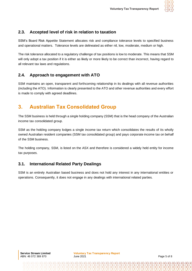

#### **2.3. Accepted level of risk in relation to taxation**

SSM's Board Risk Appetite Statement allocates risk and compliance tolerance levels to specified business and operational matters. Tolerance levels are delineated as either nil, low, moderate, medium or high.

The risk tolerance allocated to a regulatory challenge of tax positions is low to moderate. This means that SSM will only adopt a tax position if it is either as likely or more likely to be correct than incorrect, having regard to all relevant tax laws and regulations.

#### **2.4. Approach to engagement with ATO**

SSM maintains an open, transparent and forthcoming relationship in its dealings with all revenue authorities (including the ATO). Information is clearly presented to the ATO and other revenue authorities and every effort is made to comply with agreed deadlines.

## **3. Australian Tax Consolidated Group**

The SSM business is held through a single holding company (SSM) that is the head company of the Australian income tax consolidated group.

SSM as the holding company lodges a single income tax return which consolidates the results of its wholly owned Australian resident companies (SSM tax consolidated group) and pays corporate income tax on behalf of the SSM business.

The holding company, SSM, is listed on the ASX and therefore is considered a widely held entity for income tax purposes.

#### **3.1. International Related Party Dealings**

SSM is an entirely Australian based business and does not hold any interest in any international entities or operations. Consequently, it does not engage in any dealings with international related parties.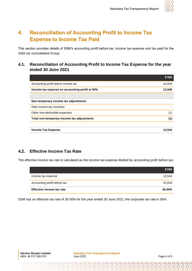

# **4. Reconciliation of Accounting Profit to Income Tax Expense to Income Tax Paid**

This section provides details of SSM's accounting profit before tax, income tax expense and tax paid for the SSM tax consolidated Group.

#### **4.1. Reconciliation of Accounting Profit to Income Tax Expense for the year ended 30 June 2021**

|                                                | \$'000 |
|------------------------------------------------|--------|
| Accounting profit before income tax            | 41,818 |
| Income tax expense on accounting profit at 30% | 12,545 |
|                                                |        |
| Non-temporary income tax adjustments           |        |
| R&D income tax incentive                       |        |
| Other non-deductible expenses                  | (1)    |
| Total non-temporary income tax adjustments     | (1)    |
|                                                |        |
| <b>Income Tax Expense</b>                      | 12.544 |
|                                                |        |

#### **4.2. Effective Income Tax Rate**

The effective income tax rate is calculated as the income tax expense divided by accounting profit before tax:

|                              | \$'000 |
|------------------------------|--------|
| Income tax expense           | 12.544 |
| Accounting profit before tax | 41,818 |
| Effective income tax rate    | 30.00% |

SSM has an effective tax rate of 30.00% for the year ended 30 June 2021; the corporate tax rate is 30%.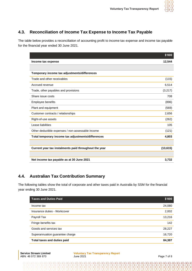

#### **4.3. Reconciliation of Income Tax Expense to Income Tax Payable**

The table below provides a reconciliation of accounting profit to income tax expense and income tax payable for the financial year ended 30 June 2021.

|                                                       | \$'000    |
|-------------------------------------------------------|-----------|
| Income tax expense                                    | 12,544    |
|                                                       |           |
| Temporary income tax adjustments/differences          |           |
| Trade and other receivables                           | (115)     |
| Accrued revenue                                       | 6,514     |
| Trade, other payables and provisions                  | (3,217)   |
| Share issue costs                                     | 708       |
| <b>Employee benefits</b>                              | (896)     |
| Plant and equipment                                   | (569)     |
| Customer contracts / relationships                    | 2,656     |
| Right-of-use assets                                   | (262)     |
| Lease liabilities                                     | 105       |
| Other deductible expenses / non-assessable income     | (121)     |
| Total temporary income tax adjustments/differences    | 4,803     |
|                                                       |           |
| Current year tax instalments paid throughout the year | (13, 615) |
|                                                       |           |
| Net income tax payable as at 30 June 2021             | 3,732     |

#### **4.4. Australian Tax Contribution Summary**

The following tables show the total of corporate and other taxes paid in Australia by SSM for the financial year ending 30 June 2021.

| <b>Taxes and Duties Paid</b>    | \$'000 |
|---------------------------------|--------|
| Income tax                      | 24,080 |
| Insurance duties - Workcover    | 2,002  |
| Payroll Tax                     | 13,216 |
| Fringe benefits tax             | 142    |
| Goods and services tax          | 28,227 |
| Superannuation guarantee charge | 16,720 |
| Total taxes and duties paid     | 84,387 |

**Voluntary Tax Transparency Report**